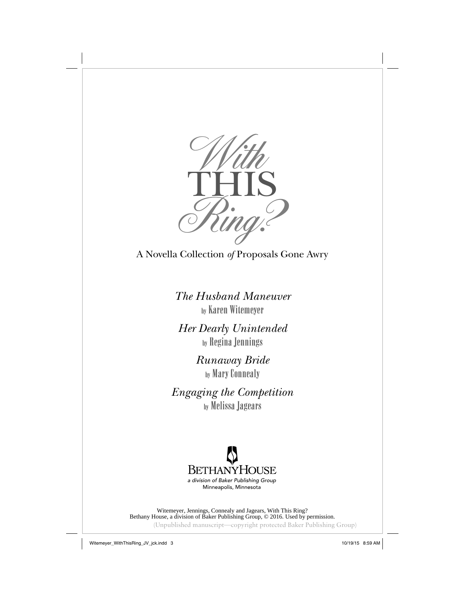

A Novella Collection *of* Proposals Gone Awry

*The Husband Maneuver* by Karen Witemeyer

*Her Dearly Unintended* by Regina Jennings

> *Runaway Bride* by Mary Connealy

*Engaging the Competition* by Melissa Jagears

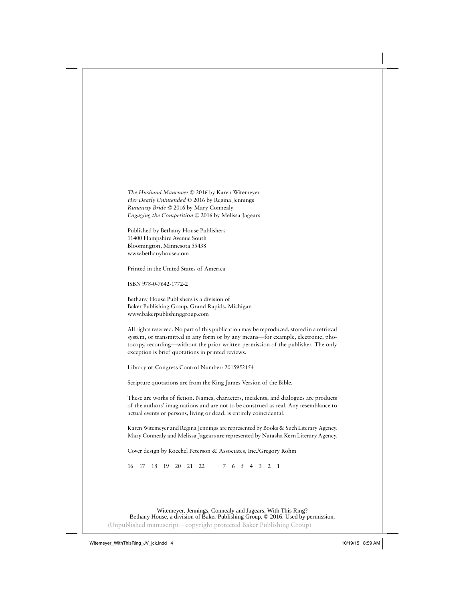*The Husband Maneuver* © 2016 by Karen Witemeyer *Her Dearly Unintended* © 2016 by Regina Jennings *Runaway Bride* © 2016 by Mary Connealy *Engaging the Competition* © 2016 by Melissa Jagears

Published by Bethany House Publishers 11400 Hampshire Avenue South Bloomington, Minnesota 55438 www.bethanyhouse.com

Printed in the United States of America

ISBN 978-0-7642-1772-2

Bethany House Publishers is a division of Baker Publishing Group, Grand Rapids, Michigan www.bakerpublishinggroup.com

All rights reserved. No part of this publication may be reproduced, stored in a retrieval system, or transmitted in any form or by any means—for example, electronic, photocopy, recording—without the prior written permission of the publisher. The only exception is brief quotations in printed reviews.

Library of Congress Control Number: 2015952154

Scripture quotations are from the King James Version of the Bible.

These are works of fiction. Names, characters, incidents, and dialogues are products of the authors' imaginations and are not to be construed as real. Any resemblance to actual events or persons, living or dead, is entirely coincidental.

Karen Witemeyer and Regina Jennings are represented by Books & Such Literary Agency. Mary Connealy and Melissa Jagears are represented by Natasha Kern Literary Agency.

Cover design by Koechel Peterson & Associates, Inc./Gregory Rohm

16 17 18 19 20 21 22 7 6 5 4 3 2 1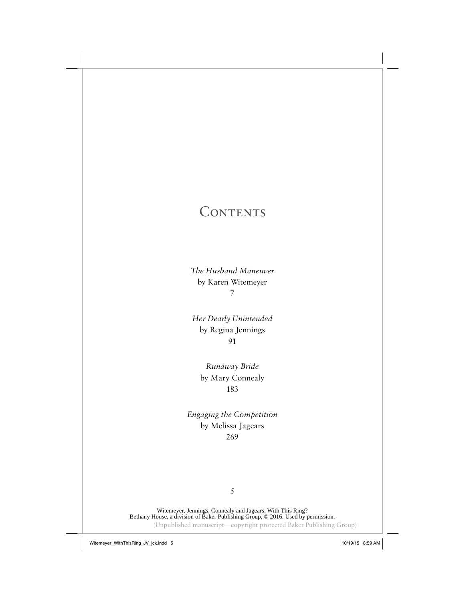## CONTENTS

*The Husband Maneuver* by Karen Witemeyer 7

*Her Dearly Unintended* by Regina Jennings 91

*Runaway Bride* by Mary Connealy 183

*Engaging the Competition* by Melissa Jagears 269

5

Witemeyer, Jennings, Connealy and Jagears, With This Ring? Bethany House, a division of Baker Publishing Group, © 2016. Used by permission.

(Unpublished manuscript—copyright protected Baker Publishing Group)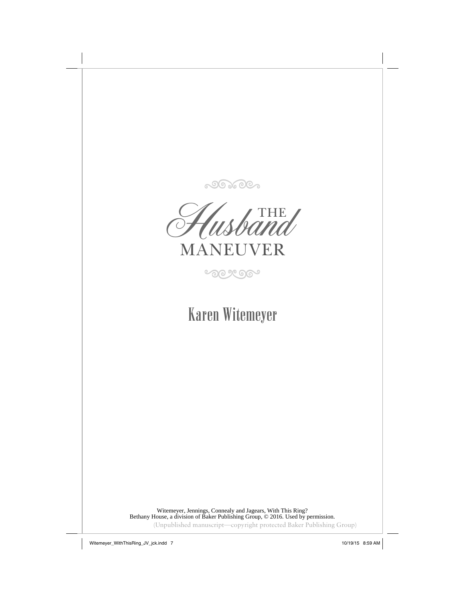



 $\circledcirc$ ରତ ୭୧ ରଗ

## Karen Witemeyer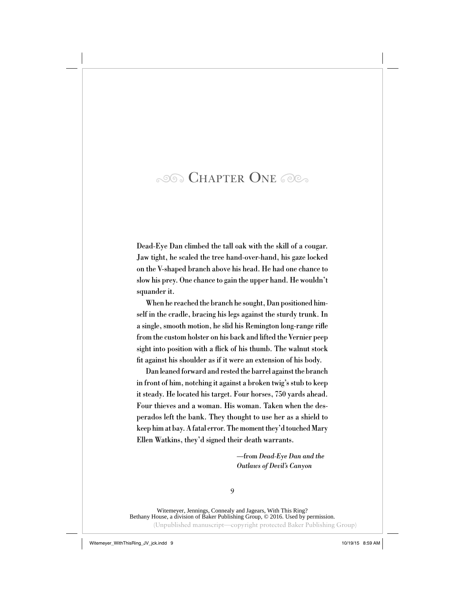## OO CHAPTER ONE COO

Dead-Eye Dan climbed the tall oak with the skill of a cougar. Jaw tight, he scaled the tree hand-over-hand, his gaze locked on the V-shaped branch above his head. He had one chance to slow his prey. One chance to gain the upper hand. He wouldn't squander it.

When he reached the branch he sought, Dan positioned himself in the cradle, bracing his legs against the sturdy trunk. In a single, smooth motion, he slid his Remington long-range rifle from the custom holster on his back and lifted the Vernier peep sight into position with a flick of his thumb. The walnut stock fit against his shoulder as if it were an extension of his body.

Dan leaned forward and rested the barrel against the branch in front of him, notching it against a broken twig's stub to keep it steady. He located his target. Four horses, 750 yards ahead. Four thieves and a woman. His woman. Taken when the desperados left the bank. They thought to use her as a shield to keep him at bay. A fatal error. The moment they'd touched Mary Ellen Watkins, they'd signed their death warrants.

> —from *Dead-Eye Dan and the Outlaws of Devil's Canyon*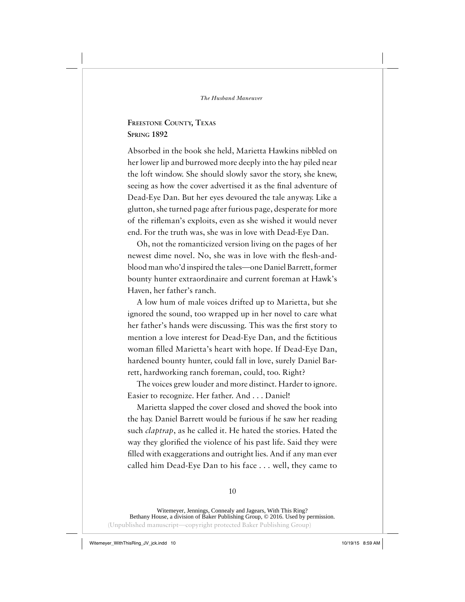**FREESTONE COUNTY, TEXAS SPRING 1892**

Absorbed in the book she held, Marietta Hawkins nibbled on her lower lip and burrowed more deeply into the hay piled near the loft window. She should slowly savor the story, she knew, seeing as how the cover advertised it as the final adventure of Dead-Eye Dan. But her eyes devoured the tale anyway. Like a glutton, she turned page after furious page, desperate for more of the rifleman's exploits, even as she wished it would never end. For the truth was, she was in love with Dead-Eye Dan.

Oh, not the romanticized version living on the pages of her newest dime novel. No, she was in love with the flesh-andblood man who'd inspired the tales—one Daniel Barrett, former bounty hunter extraordinaire and current foreman at Hawk's Haven, her father's ranch.

A low hum of male voices drifted up to Marietta, but she ignored the sound, too wrapped up in her novel to care what her father's hands were discussing. This was the first story to mention a love interest for Dead-Eye Dan, and the fictitious woman filled Marietta's heart with hope. If Dead-Eye Dan, hardened bounty hunter, could fall in love, surely Daniel Barrett, hardworking ranch foreman, could, too. Right?

The voices grew louder and more distinct. Harder to ignore. Easier to recognize. Her father. And . . . Daniel!

Marietta slapped the cover closed and shoved the book into the hay. Daniel Barrett would be furious if he saw her reading such *claptrap*, as he called it. He hated the stories. Hated the way they glorified the violence of his past life. Said they were filled with exaggerations and outright lies. And if any man ever called him Dead-Eye Dan to his face . . . well, they came to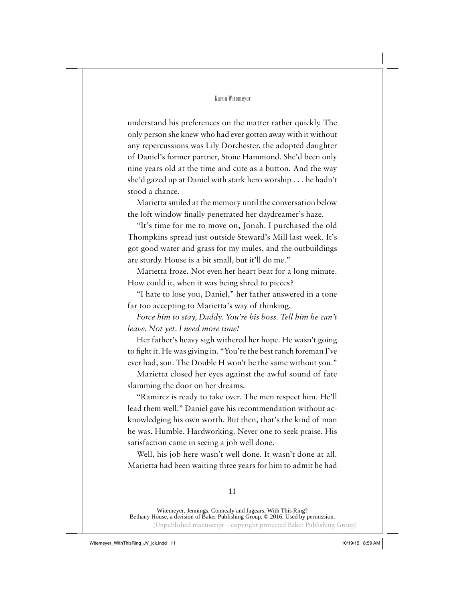understand his preferences on the matter rather quickly. The only person she knew who had ever gotten away with it without any repercussions was Lily Dorchester, the adopted daughter of Daniel's former partner, Stone Hammond. She'd been only nine years old at the time and cute as a button. And the way she'd gazed up at Daniel with stark hero worship . . . he hadn't stood a chance.

Marietta smiled at the memory until the conversation below the loft window finally penetrated her daydreamer's haze.

"It's time for me to move on, Jonah. I purchased the old Thompkins spread just outside Steward's Mill last week. It's got good water and grass for my mules, and the outbuildings are sturdy. House is a bit small, but it'll do me."

Marietta froze. Not even her heart beat for a long minute. How could it, when it was being shred to pieces?

"I hate to lose you, Daniel," her father answered in a tone far too accepting to Marietta's way of thinking.

*Force him to stay, Daddy. You're his boss. Tell him he can't leave. Not yet. I need more time!*

Her father's heavy sigh withered her hope. He wasn't going to fight it. He was giving in. "You're the best ranch foreman I've ever had, son. The Double H won't be the same without you."

Marietta closed her eyes against the awful sound of fate slamming the door on her dreams.

"Ramirez is ready to take over. The men respect him. He'll lead them well." Daniel gave his recommendation without acknowledging his own worth. But then, that's the kind of man he was. Humble. Hardworking. Never one to seek praise. His satisfaction came in seeing a job well done.

Well, his job here wasn't well done. It wasn't done at all. Marietta had been waiting three years for him to admit he had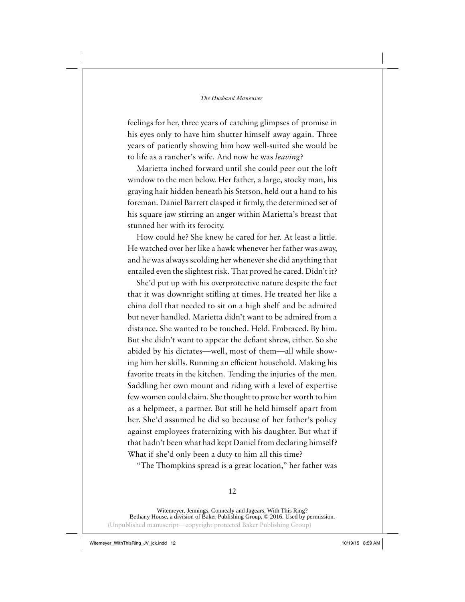feelings for her, three years of catching glimpses of promise in his eyes only to have him shutter himself away again. Three years of patiently showing him how well-suited she would be to life as a rancher's wife. And now he was *leaving*?

Marietta inched forward until she could peer out the loft window to the men below. Her father, a large, stocky man, his graying hair hidden beneath his Stetson, held out a hand to his foreman. Daniel Barrett clasped it firmly, the determined set of his square jaw stirring an anger within Marietta's breast that stunned her with its ferocity.

How could he? She knew he cared for her. At least a little. He watched over her like a hawk whenever her father was away, and he was always scolding her whenever she did anything that entailed even the slightest risk. That proved he cared. Didn't it?

She'd put up with his overprotective nature despite the fact that it was downright stifling at times. He treated her like a china doll that needed to sit on a high shelf and be admired but never handled. Marietta didn't want to be admired from a distance. She wanted to be touched. Held. Embraced. By him. But she didn't want to appear the defiant shrew, either. So she abided by his dictates—well, most of them—all while showing him her skills. Running an efficient household. Making his favorite treats in the kitchen. Tending the injuries of the men. Saddling her own mount and riding with a level of expertise few women could claim. She thought to prove her worth to him as a helpmeet, a partner. But still he held himself apart from her. She'd assumed he did so because of her father's policy against employees fraternizing with his daughter. But what if that hadn't been what had kept Daniel from declaring himself? What if she'd only been a duty to him all this time?

"The Thompkins spread is a great location," her father was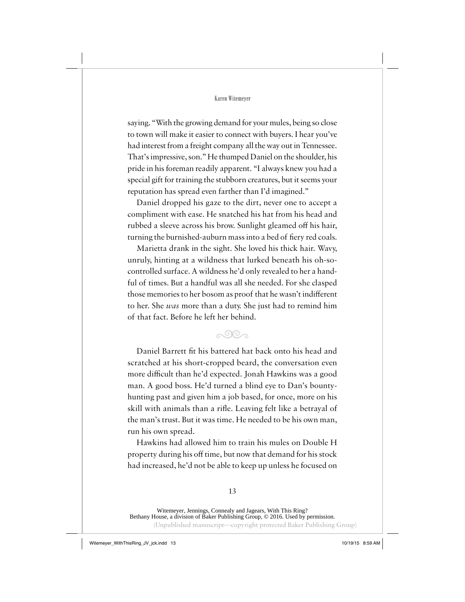saying. "With the growing demand for your mules, being so close to town will make it easier to connect with buyers. I hear you've had interest from a freight company all the way out in Tennessee. That's impressive, son." He thumped Daniel on the shoulder, his pride in his foreman readily apparent. "I always knew you had a special gift for training the stubborn creatures, but it seems your reputation has spread even farther than I'd imagined."

Daniel dropped his gaze to the dirt, never one to accept a compliment with ease. He snatched his hat from his head and rubbed a sleeve across his brow. Sunlight gleamed off his hair, turning the burnished-auburn mass into a bed of fiery red coals.

Marietta drank in the sight. She loved his thick hair. Wavy, unruly, hinting at a wildness that lurked beneath his oh-socontrolled surface. A wildness he'd only revealed to her a handful of times. But a handful was all she needed. For she clasped those memories to her bosom as proof that he wasn't indifferent to her. She *was* more than a duty. She just had to remind him of that fact. Before he left her behind.

 $\sim$ 

Daniel Barrett fit his battered hat back onto his head and scratched at his short-cropped beard, the conversation even more difficult than he'd expected. Jonah Hawkins was a good man. A good boss. He'd turned a blind eye to Dan's bountyhunting past and given him a job based, for once, more on his skill with animals than a rifle. Leaving felt like a betrayal of the man's trust. But it was time. He needed to be his own man, run his own spread.

Hawkins had allowed him to train his mules on Double H property during his off time, but now that demand for his stock had increased, he'd not be able to keep up unless he focused on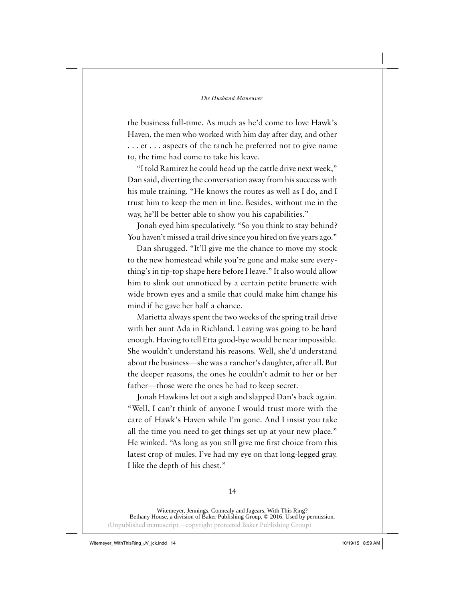the business full-time. As much as he'd come to love Hawk's Haven, the men who worked with him day after day, and other . . . er . . . aspects of the ranch he preferred not to give name to, the time had come to take his leave.

"I told Ramirez he could head up the cattle drive next week," Dan said, diverting the conversation away from his success with his mule training. "He knows the routes as well as I do, and I trust him to keep the men in line. Besides, without me in the way, he'll be better able to show you his capabilities."

Jonah eyed him speculatively. "So you think to stay behind? You haven't missed a trail drive since you hired on five years ago."

Dan shrugged. "It'll give me the chance to move my stock to the new homestead while you're gone and make sure everything's in tip-top shape here before I leave." It also would allow him to slink out unnoticed by a certain petite brunette with wide brown eyes and a smile that could make him change his mind if he gave her half a chance.

Marietta always spent the two weeks of the spring trail drive with her aunt Ada in Richland. Leaving was going to be hard enough. Having to tell Etta good-bye would be near impossible. She wouldn't understand his reasons. Well, she'd understand about the business—she was a rancher's daughter, after all. But the deeper reasons, the ones he couldn't admit to her or her father—those were the ones he had to keep secret.

Jonah Hawkins let out a sigh and slapped Dan's back again. "Well, I can't think of anyone I would trust more with the care of Hawk's Haven while I'm gone. And I insist you take all the time you need to get things set up at your new place." He winked. "As long as you still give me first choice from this latest crop of mules. I've had my eye on that long-legged gray. I like the depth of his chest."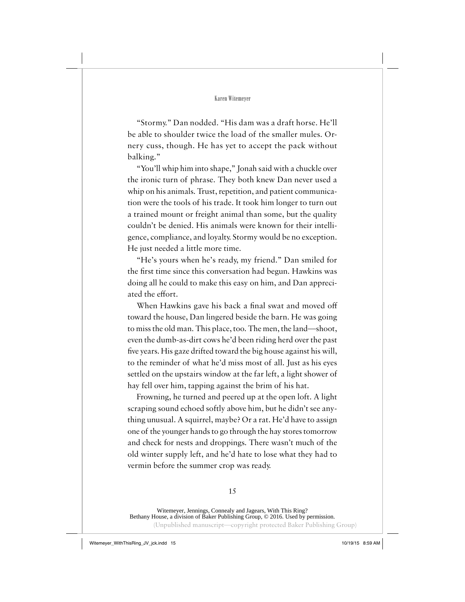"Stormy." Dan nodded. "His dam was a draft horse. He'll be able to shoulder twice the load of the smaller mules. Ornery cuss, though. He has yet to accept the pack without balking."

"You'll whip him into shape," Jonah said with a chuckle over the ironic turn of phrase. They both knew Dan never used a whip on his animals. Trust, repetition, and patient communication were the tools of his trade. It took him longer to turn out a trained mount or freight animal than some, but the quality couldn't be denied. His animals were known for their intelligence, compliance, and loyalty. Stormy would be no exception. He just needed a little more time.

"He's yours when he's ready, my friend." Dan smiled for the first time since this conversation had begun. Hawkins was doing all he could to make this easy on him, and Dan appreciated the effort.

When Hawkins gave his back a final swat and moved off toward the house, Dan lingered beside the barn. He was going to miss the old man. This place, too. The men, the land—shoot, even the dumb-as-dirt cows he'd been riding herd over the past five years. His gaze drifted toward the big house against his will, to the reminder of what he'd miss most of all. Just as his eyes settled on the upstairs window at the far left, a light shower of hay fell over him, tapping against the brim of his hat.

Frowning, he turned and peered up at the open loft. A light scraping sound echoed softly above him, but he didn't see anything unusual. A squirrel, maybe? Or a rat. He'd have to assign one of the younger hands to go through the hay stores tomorrow and check for nests and droppings. There wasn't much of the old winter supply left, and he'd hate to lose what they had to vermin before the summer crop was ready.